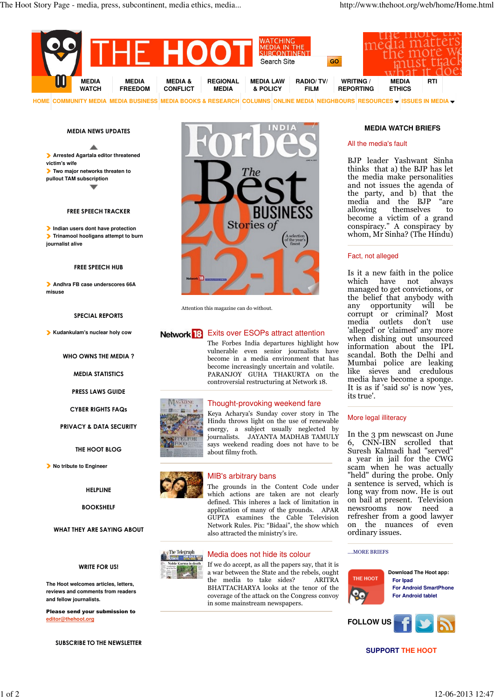